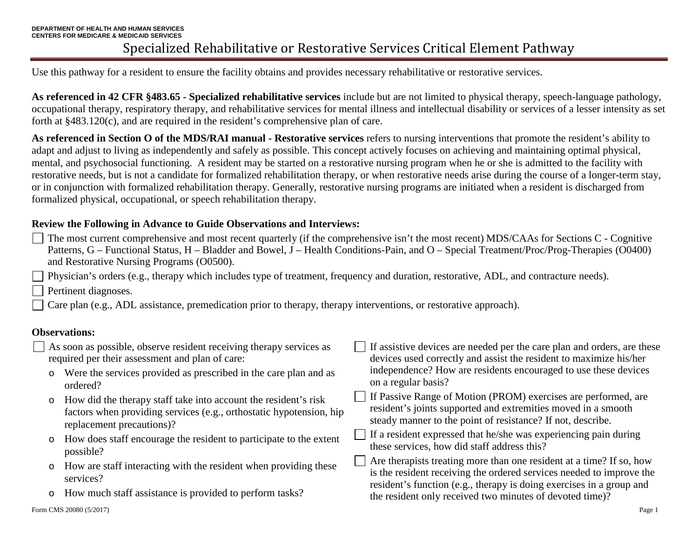Use this pathway for a resident to ensure the facility obtains and provides necessary rehabilitative or restorative services.

**As referenced in 42 CFR §483.65 - Specialized rehabilitative services** include but are not limited to physical therapy, speech-language pathology, occupational therapy, respiratory therapy, and rehabilitative services for mental illness and intellectual disability or services of a lesser intensity as set forth at §483.120(c), and are required in the resident's comprehensive plan of care.

**As referenced in Section O of the MDS/RAI manual - Restorative services** refers to nursing interventions that promote the resident's ability to adapt and adjust to living as independently and safely as possible. This concept actively focuses on achieving and maintaining optimal physical, mental, and psychosocial functioning. A resident may be started on a restorative nursing program when he or she is admitted to the facility with restorative needs, but is not a candidate for formalized rehabilitation therapy, or when restorative needs arise during the course of a longer-term stay, or in conjunction with formalized rehabilitation therapy. Generally, restorative nursing programs are initiated when a resident is discharged from formalized physical, occupational, or speech rehabilitation therapy.

## **Review the Following in Advance to Guide Observations and Interviews:**

The most current comprehensive and most recent quarterly (if the comprehensive isn't the most recent) MDS/CAAs for Sections C - Cognitive Patterns, G – Functional Status, H – Bladder and Bowel, J – Health Conditions-Pain, and O – Special Treatment/Proc/Prog-Therapies (O0400) and Restorative Nursing Programs (O0500).

Physician's orders (e.g., therapy which includes type of treatment, frequency and duration, restorative, ADL, and contracture needs).

Pertinent diagnoses.

Care plan (e.g., ADL assistance, premedication prior to therapy, therapy interventions, or restorative approach).

## **Observations:**

| As soon as possible, observe resident receiving therapy services as<br>required per their assessment and plan of care: |                                                                                                                                                                     | If assistive devices are needed per the care plan and orders, are these<br>devices used correctly and assist the resident to maximize his/her                                                                        |
|------------------------------------------------------------------------------------------------------------------------|---------------------------------------------------------------------------------------------------------------------------------------------------------------------|----------------------------------------------------------------------------------------------------------------------------------------------------------------------------------------------------------------------|
|                                                                                                                        | Were the services provided as prescribed in the care plan and as<br>ordered?                                                                                        | independence? How are residents encouraged to use these devices<br>on a regular basis?                                                                                                                               |
| $\circ$                                                                                                                | How did the therapy staff take into account the resident's risk<br>factors when providing services (e.g., orthostatic hypotension, hip<br>replacement precautions)? | If Passive Range of Motion (PROM) exercises are performed, are<br>resident's joints supported and extremities moved in a smooth<br>steady manner to the point of resistance? If not, describe.                       |
| $\circ$                                                                                                                | How does staff encourage the resident to participate to the extent<br>possible?                                                                                     | If a resident expressed that he/she was experiencing pain during<br>these services, how did staff address this?                                                                                                      |
| $\circ$                                                                                                                | How are staff interacting with the resident when providing these<br>services?                                                                                       | Are therapists treating more than one resident at a time? If so, how<br>is the resident receiving the ordered services needed to improve the<br>resident's function (e.g., therapy is doing exercises in a group and |
|                                                                                                                        | How much staff assistance is provided to perform tasks?                                                                                                             | the resident only received two minutes of devoted time)?                                                                                                                                                             |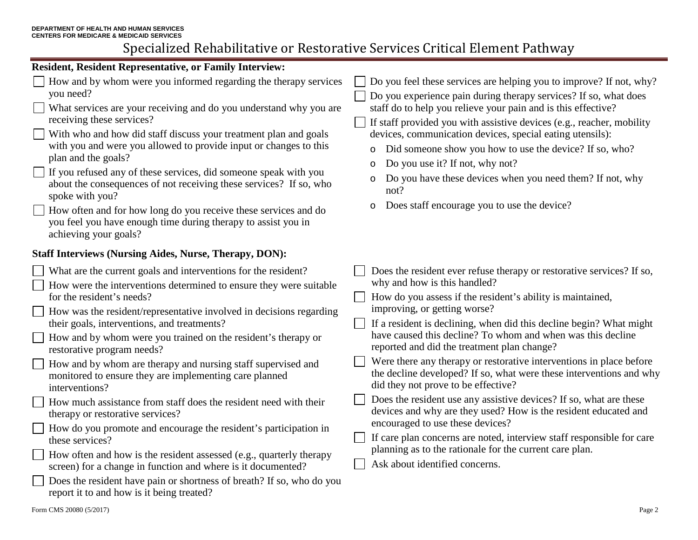# Specialized Rehabilitative or Restorative Services Critical Element Pathway

#### **Resident, Resident Representative, or Family Interview:**  How and by whom were you informed regarding the therapy services Do you feel these services are helping you to improve? If not, why? you need? Do you experience pain during therapy services? If so, what does What services are your receiving and do you understand why you are staff do to help you relieve your pain and is this effective? receiving these services?  $\Box$  If staff provided you with assistive devices (e.g., reacher, mobility With who and how did staff discuss your treatment plan and goals devices, communication devices, special eating utensils): with you and were you allowed to provide input or changes to this o Did someone show you how to use the device? If so, who? plan and the goals? o Do you use it? If not, why not?  $\Box$  If you refused any of these services, did someone speak with you Do you have these devices when you need them? If not, why about the consequences of not receiving these services? If so, who not? spoke with you? o Does staff encourage you to use the device? How often and for how long do you receive these services and do you feel you have enough time during therapy to assist you in achieving your goals? **Staff Interviews (Nursing Aides, Nurse, Therapy, DON):** What are the current goals and interventions for the resident? Does the resident ever refuse therapy or restorative services? If so, why and how is this handled? How were the interventions determined to ensure they were suitable for the resident's needs? How do you assess if the resident's ability is maintained, improving, or getting worse? How was the resident/representative involved in decisions regarding their goals, interventions, and treatments? If a resident is declining, when did this decline begin? What might have caused this decline? To whom and when was this decline How and by whom were you trained on the resident's therapy or reported and did the treatment plan change? restorative program needs? Were there any therapy or restorative interventions in place before How and by whom are therapy and nursing staff supervised and the decline developed? If so, what were these interventions and why monitored to ensure they are implementing care planned did they not prove to be effective? interventions? Does the resident use any assistive devices? If so, what are these How much assistance from staff does the resident need with their devices and why are they used? How is the resident educated and therapy or restorative services? encouraged to use these devices? How do you promote and encourage the resident's participation in If care plan concerns are noted, interview staff responsible for care these services?  $\Box$ planning as to the rationale for the current care plan. How often and how is the resident assessed (e.g., quarterly therapy Ask about identified concerns.screen) for a change in function and where is it documented? Does the resident have pain or shortness of breath? If so, who do you report it to and how is it being treated?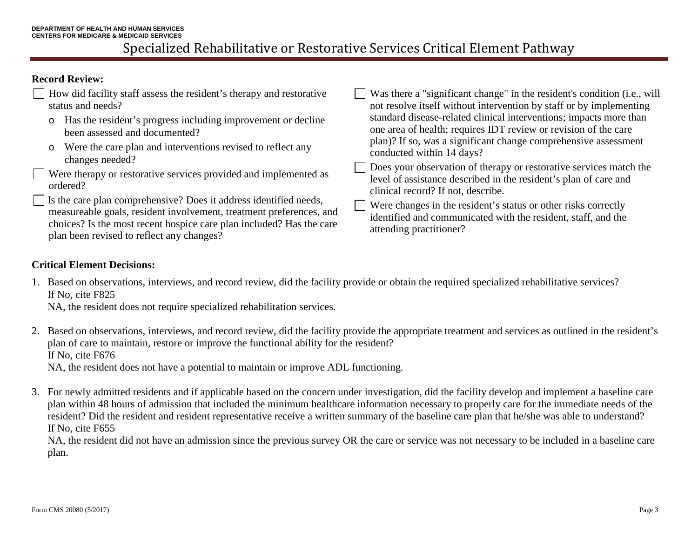## Specialized Rehabilitative or Restorative Services Critical Element Pathway

### **Record Review:**

| How did facility staff assess the resident's therapy and restorative<br>status and needs?                                                                                                                                                                     | Was there a "significant change" in the resident's condition (i.e., will<br>not resolve itself without intervention by staff or by implementing                                                                                       |
|---------------------------------------------------------------------------------------------------------------------------------------------------------------------------------------------------------------------------------------------------------------|---------------------------------------------------------------------------------------------------------------------------------------------------------------------------------------------------------------------------------------|
| o Has the resident's progress including improvement or decline<br>been assessed and documented?                                                                                                                                                               | standard disease-related clinical interventions; impacts more than<br>one area of health; requires IDT review or revision of the care<br>plan)? If so, was a significant change comprehensive assessment<br>conducted within 14 days? |
| o Were the care plan and interventions revised to reflect any<br>changes needed?                                                                                                                                                                              |                                                                                                                                                                                                                                       |
| Were therapy or restorative services provided and implemented as<br>ordered?                                                                                                                                                                                  | Does your observation of therapy or restorative services match the<br>level of assistance described in the resident's plan of care and<br>clinical record? If not, describe.                                                          |
| Is the care plan comprehensive? Does it address identified needs,<br>measureable goals, resident involvement, treatment preferences, and<br>choices? Is the most recent hospice care plan included? Has the care<br>plan been revised to reflect any changes? | Were changes in the resident's status or other risks correctly<br>identified and communicated with the resident, staff, and the<br>attending practitioner?                                                                            |

#### **Critical Element Decisions:**

1. Based on observations, interviews, and record review, did the facility provide or obtain the required specialized rehabilitative services? If No, cite F825

NA, the resident does not require specialized rehabilitation services.

- 2. Based on observations, interviews, and record review, did the facility provide the appropriate treatment and services as outlined in the resident's plan of care to maintain, restore or improve the functional ability for the resident? If No, cite F676 NA, the resident does not have a potential to maintain or improve ADL functioning.
- 3. For newly admitted residents and if applicable based on the concern under investigation, did the facility develop and implement a baseline care plan within 48 hours of admission that included the minimum healthcare information necessary to properly care for the immediate needs of the resident? Did the resident and resident representative receive a written summary of the baseline care plan that he/she was able to understand? If No, cite F655

NA, the resident did not have an admission since the previous survey OR the care or service was not necessary to be included in a baseline care plan.